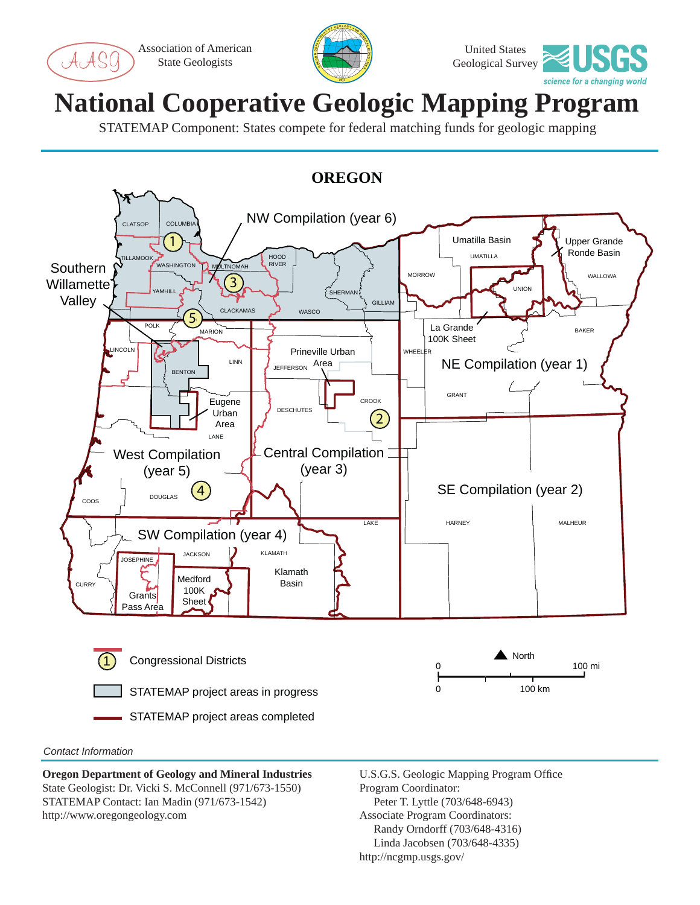Association of American State Geologists

AS(





## **National Cooperative Geologic Mapping Program**

STATEMAP Component: States compete for federal matching funds for geologic mapping



## *Contact Information*

**Oregon Department of Geology and Mineral Industries** State Geologist: Dr. Vicki S. McConnell (971/673-1550) STATEMAP Contact: Ian Madin (971/673-1542) http://www.oregongeology.com

U.S.G.S. Geologic Mapping Program Office Program Coordinator: Peter T. Lyttle (703/648-6943) Associate Program Coordinators: Randy Orndorff (703/648-4316) Linda Jacobsen (703/648-4335) http://ncgmp.usgs.gov/